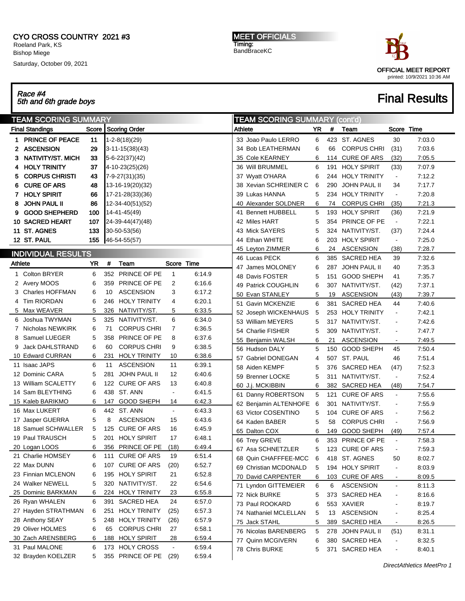#### CYO CROSS COUNTRY 2021 #3 Roeland Park, KS Bishop Miege

Saturday, October 09, 2021

MEET OFFICIALS Timing: BandBraceKC



## Race #4 5th and 6th grade boys Final Results

| <b>TEAM SCORING SUMMARY</b> |                                      |       |     |                                    |                      |        |         | <b>TEAM SCORING SUMMARY (cont'd)</b> |     |     |                     |                              |        |
|-----------------------------|--------------------------------------|-------|-----|------------------------------------|----------------------|--------|---------|--------------------------------------|-----|-----|---------------------|------------------------------|--------|
|                             | <b>Final Standings</b>               | Score |     | <b>Scoring Order</b>               |                      |        | Athlete |                                      | YR  | #   | Team                | Score Time                   |        |
|                             | 1 PRINCE OF PEACE                    | 11    |     | $1 - 2 - 8(18)(29)$                |                      |        |         | 33 Joao Paulo LERRO                  | 6   |     | 423 ST. AGNES       | 30                           | 7:03.0 |
|                             | <b>ASCENSION</b>                     | 29    |     | $ 3 - 11 - 15(38)(43) $            |                      |        |         | 34 Bob LEATHERMAN                    | 6   | 66  | <b>CORPUS CHRI</b>  | (31)                         | 7:03.6 |
|                             | <b>NATIVITY/ST. MICH</b>             | 33    |     | $5 - 6 - 22(37)(42)$               |                      |        |         | 35 Cole KEARNEY                      | 6   | 114 | <b>CURE OF ARS</b>  | (32)                         | 7:05.5 |
| 4                           | <b>HOLY TRINITY</b>                  | 37    |     | 4-10-23(25)(26)                    |                      |        |         | 36 Will BRUMMEL                      | 6   | 191 | <b>HOLY SPIRIT</b>  | (33)                         | 7:07.9 |
| 5                           | <b>CORPUS CHRISTI</b>                | 43    |     | 7-9-27(31)(35)                     |                      |        |         | 37 Wyatt O'HARA                      | 6   | 244 | <b>HOLY TRINITY</b> | $\blacksquare$               | 7:12.2 |
| 6                           | <b>CURE OF ARS</b>                   | 48    |     | 13-16-19(20)(32)                   |                      |        |         | 38 Xevian SCHREINER C                | 6   | 290 | <b>JOHN PAUL II</b> | 34                           | 7:17.7 |
| 7                           | <b>HOLY SPIRIT</b>                   | 66    |     | 17-21-28(33)(36)                   |                      |        |         | 39 Lukas HANNA                       | 5   | 234 | <b>HOLY TRINITY</b> | $\sim$                       | 7:20.8 |
| 8                           | JOHN PAUL II                         | 86    |     | 12-34-40(51)(52)                   |                      |        |         | 40 Alexander SOLDNER                 | 6   | 74  | <b>CORPUS CHRI</b>  | (35)                         | 7:21.3 |
| 9                           | <b>GOOD SHEPHERD</b>                 | 100   |     | 14-41-45(49)                       |                      |        |         | 41 Bennett HUBBELL                   | 5   | 193 | <b>HOLY SPIRIT</b>  | (36)                         | 7:21.9 |
|                             | <b>10 SACRED HEART</b>               | 107   |     | 24-39-44(47)(48)                   |                      |        |         | 42 Miles HART                        | 5   | 354 | PRINCE OF PE        | $\blacksquare$               | 7:22.1 |
|                             | 11 ST. AGNES                         | 133   |     | 30-50-53(56)                       |                      |        |         | 43 Mick SAYERS                       | 5   | 324 | NATIVITY/ST.        | (37)                         | 7:24.4 |
|                             | 12 ST. PAUL                          | 155   |     | 46-54-55(57)                       |                      |        |         | 44 Ethan WHITE                       | 6   | 203 | <b>HOLY SPIRIT</b>  | $\blacksquare$               | 7:25.0 |
| <b>INDIVIDUAL RESULTS</b>   |                                      |       |     |                                    |                      |        |         | 45 Leyton ZIMMER                     | 6   | 24  | <b>ASCENSION</b>    | (38)                         | 7:28.7 |
|                             |                                      |       |     |                                    |                      |        |         | 46 Lucas PECK                        | 6   | 385 | <b>SACRED HEA</b>   | 39                           | 7:32.6 |
| Athlete                     |                                      | YR    | #   | Team                               | Score Time           |        |         | 47 James MOLONEY                     | 6   | 287 | <b>JOHN PAUL II</b> | 40                           | 7:35.3 |
|                             | 1 Colton BRYER                       | 6     |     | 352 PRINCE OF PE                   | $\mathbf{1}$         | 6:14.9 |         | 48 Davis FOSTER                      | 5   | 151 | <b>GOOD SHEPH</b>   | 41                           | 7:35.7 |
|                             | 2 Avery MOOS                         | 6     | 359 | PRINCE OF PE                       | 2                    | 6:16.6 |         | 49 Patrick COUGHLIN                  | 6   | 307 | NATIVITY/ST.        | (42)                         | 7:37.1 |
| 3                           | <b>Charles HOFFMAN</b>               | 6     | 10  | <b>ASCENSION</b>                   | 3                    | 6:17.2 |         | 50 Evan STANLEY                      | 5   | 19  | <b>ASCENSION</b>    | (43)                         | 7:39.7 |
| 4                           | <b>Tim RIORDAN</b>                   | 6     | 246 | <b>HOLY TRINITY</b>                | 4                    | 6:20.1 |         | 51 Gavin MCKENZIE                    | 6   | 381 | <b>SACRED HEA</b>   | 44                           | 7:40.6 |
|                             | 5 Max WEAVER                         | 5     | 326 | NATIVITY/ST.                       | 5                    | 6:33.5 |         | 52 Joseph WICKENHAUS                 | 5   | 253 | <b>HOLY TRINITY</b> | $\blacksquare$               | 7:42.1 |
| 6                           | Joshua TWYMAN                        | 5     | 325 | NATIVITY/ST.                       | 6                    | 6:34.0 |         | 53 William MEYERS                    | 5   | 317 | NATIVITY/ST.        | $\blacksquare$               | 7:42.6 |
|                             | Nicholas NEWKIRK                     | 6     | 71  | <b>CORPUS CHRI</b>                 | 7                    | 6:36.5 |         | 54 Charlie FISHER                    | 5   | 309 | NATIVITY/ST.        | $\blacksquare$               | 7:47.7 |
| 8                           | Samuel LUEGER                        | 5     | 358 | PRINCE OF PE                       | 8                    | 6:37.6 |         | 55 Benjamin WALSH                    | 6   | 21  | <b>ASCENSION</b>    | $\blacksquare$               | 7:49.5 |
| 9                           | <b>Jack DAHLSTRAND</b>               | 6     | 60  | <b>CORPUS CHRI</b>                 | 9                    | 6:38.5 |         | 56 Hudson DALY                       | 5   | 150 | <b>GOOD SHEPH</b>   | 45                           | 7:50.4 |
|                             | 10 Edward CURRAN                     | 6     | 231 | <b>HOLY TRINITY</b>                | 10                   | 6:38.6 |         | 57 Gabriel DONEGAN                   | 4   |     | 507 ST. PAUL        | 46                           | 7:51.4 |
|                             | 11 Isaac JAPS                        | 6     | 11  | <b>ASCENSION</b>                   | 11                   | 6:39.1 |         | 58 Aiden KEMPF                       | 5   |     | 376 SACRED HEA      | (47)                         | 7:52.3 |
|                             | 12 Dominic CARA                      | 5     | 281 | <b>JOHN PAUL II</b>                | 12                   | 6:40.6 |         | 59 Brenner LOCKE                     | 5   | 311 | NATIVITY/ST.        | $\blacksquare$               | 7:52.4 |
|                             | 13 William SCALETTY                  | 6     | 122 | <b>CURE OF ARS</b>                 | 13                   | 6:40.8 |         | 60 J.j. MCKIBBIN                     | 6   | 382 | <b>SACRED HEA</b>   | (48)                         | 7:54.7 |
|                             | 14 Sam BLEYTHING                     | 6     | 438 | ST. ANN                            | $\blacksquare$       | 6:41.5 |         | 61 Danny ROBERTSON                   | 5   | 121 | <b>CURE OF ARS</b>  | $\blacksquare$               | 7:55.6 |
|                             | 15 Kaleb BARIKMO                     | 6     | 147 | <b>GOOD SHEPH</b>                  | 14                   | 6:42.3 |         | 62 Benjamin ALTENHOFE                | - 6 | 301 | NATIVITY/ST.        | $\blacksquare$               | 7:55.9 |
|                             | 16 Max LUKERT                        | 6     |     | 442 ST. ANN                        | $\blacksquare$       | 6:43.3 |         | 63 Victor COSENTINO                  | 5   | 104 | <b>CURE OF ARS</b>  | $\blacksquare$               | 7:56.2 |
|                             | 17 Jasper GUERRA                     | 5     | 8   | <b>ASCENSION</b>                   | 15                   | 6:43.6 |         | 64 Kaden BABER                       | 5   | 58  | <b>CORPUS CHRI</b>  | $\blacksquare$               | 7:56.9 |
|                             | 18 Samuel SCHWALLER                  | 5     | 125 | <b>CURE OF ARS</b>                 | 16                   | 6:45.9 |         | 65 Dalton COX                        | 6   | 149 | GOOD SHEPH          | (49)                         | 7:57.4 |
|                             | 19 Paul TRAUSCH                      | 5     | 201 | <b>HOLY SPIRIT</b>                 | 17                   | 6:48.1 |         | 66 Trey GREVE                        | 6   |     | 353 PRINCE OF PE    | $\blacksquare$               | 7:58.3 |
|                             | 20 Logan LOOS                        | 6     | 356 | PRINCE OF PE                       | (18)                 | 6:49.4 |         | 67 Asa SCHNETZLER                    | 5   |     | 123 CURE OF ARS     |                              | 7:59.3 |
|                             | 21 Charlie HOMSEY                    | 6     |     | 111 CURE OF ARS                    | 19                   | 6:51.4 |         | 68 Quin CHAFFFEE-MCC                 | 6   |     | 418 ST. AGNES       | 50                           | 8:02.7 |
|                             | 22 Max DUNN                          | 6     | 107 | <b>CURE OF ARS</b>                 | (20)                 | 6:52.7 |         | 69 Christian MCDONALD                | 5   |     | 194 HOLY SPIRIT     | $\blacksquare$               | 8:03.9 |
|                             | 23 Finnian MCLENON                   | 6     |     | 195 HOLY SPIRIT                    | 21                   | 6:52.8 |         | 70 David CARPENTER                   | 6   | 103 | <b>CURE OF ARS</b>  | $\blacksquare$               | 8:09.5 |
|                             | 24 Walker NEWELL                     | 5     |     | 320 NATIVITY/ST.                   | 22                   | 6:54.6 |         | 71 Lyndon GITTEMEIER                 | 6   | 6   | <b>ASCENSION</b>    | $\blacksquare$               | 8:11.3 |
|                             | 25 Dominic BARKMAN<br>26 Ryan WHALEN | 6     |     | 224 HOLY TRINITY<br>391 SACRED HEA | 23                   | 6:55.8 |         | 72 Nick BURKE                        | 5   |     | 373 SACRED HEA      | $\blacksquare$               | 8:16.6 |
|                             |                                      | 6     |     |                                    | 24                   | 6:57.0 |         | 73 Paul ROOKARD                      | 6   |     | 553 XAVIER          | $\qquad \qquad \blacksquare$ | 8:19.7 |
|                             | 27 Hayden STRATHMAN                  | 6     | 251 | <b>HOLY TRINITY</b>                | (25)                 | 6:57.3 |         | 74 Nathaniel MCLELLAN                | 5   | 13  | <b>ASCENSION</b>    | $\qquad \qquad \blacksquare$ | 8:25.4 |
|                             | 28 Anthony SEAY                      | 5     | 248 | <b>HOLY TRINITY</b>                | (26)                 | 6:57.9 |         | 75 Jack STAHL                        | 5   | 389 | SACRED HEA          | $\blacksquare$               | 8:26.5 |
|                             | 29 Oliver HOLMES                     | 6     | 65  | <b>CORPUS CHRI</b>                 | 27                   | 6:58.1 |         | 76 Nicolas BARENBERG                 | 5   |     | 278 JOHN PAUL II    | (51)                         | 8:31.1 |
|                             | 30 Zach ARENSBERG                    | 6     |     | 188 HOLY SPIRIT                    | 28<br>$\blacksquare$ | 6:59.4 |         | 77 Quinn MCGIVERN                    | 6   |     | 380 SACRED HEA      | $\blacksquare$               | 8:32.5 |
|                             | 31 Paul MALONE                       | 6     |     | 173 HOLY CROSS                     |                      | 6:59.4 |         | 78 Chris BURKE                       | 5   |     | 371 SACRED HEA      | $\overline{\phantom{a}}$     | 8:40.1 |
|                             | 32 Brayden KOELZER                   | 5     |     | 355 PRINCE OF PE                   | (29)                 | 6:59.4 |         |                                      |     |     |                     |                              |        |